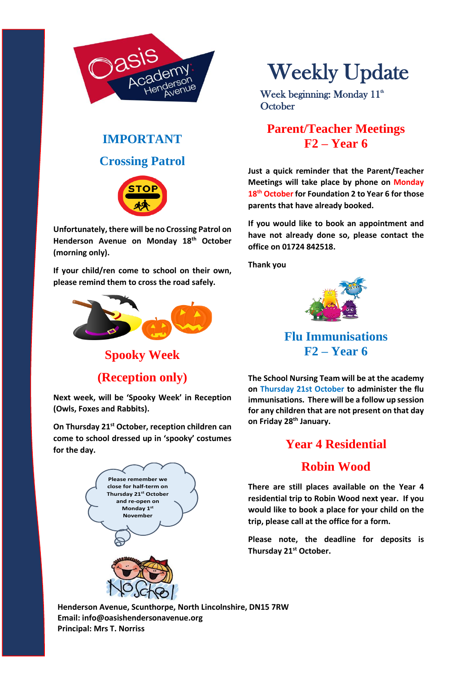

# **IMPORTANT Crossing Patrol**



**Unfortunately, there will be no Crossing Patrol on Henderson Avenue on Monday 18th October (morning only).**

**If your child/ren come to school on their own, please remind them to cross the road safely.**



**Spooky Week**

**(Reception only)**

**Next week, will be 'Spooky Week' in Reception (Owls, Foxes and Rabbits).** 

**On Thursday 21st October, reception children can come to school dressed up in 'spooky' costumes for the day.**



# Weekly Update

Week beginning: Monday  $11<sup>th</sup>$ **October** 

## **Parent/Teacher Meetings F2 – Year 6**

**Just a quick reminder that the Parent/Teacher Meetings will take place by phone on Monday 18th October for Foundation 2 to Year 6 for those parents that have already booked.**

**If you would like to book an appointment and have not already done so, please contact the office on 01724 842518.**

**Thank you**



**Flu Immunisations F2 – Year 6**

**The School Nursing Team will be at the academy on Thursday 21st October to administer the flu immunisations. There will be a follow up session for any children that are not present on that day on Friday 28th January.**

### **Year 4 Residential**

#### **Robin Wood**

**There are still places available on the Year 4 residential trip to Robin Wood next year. If you would like to book a place for your child on the trip, please call at the office for a form.**

**Please note, the deadline for deposits is Thursday 21st October.**

**Henderson Avenue, Scunthorpe, North Lincolnshire, DN15 7RW Email: info@oasishendersonavenue.org Principal: Mrs T. Norriss**